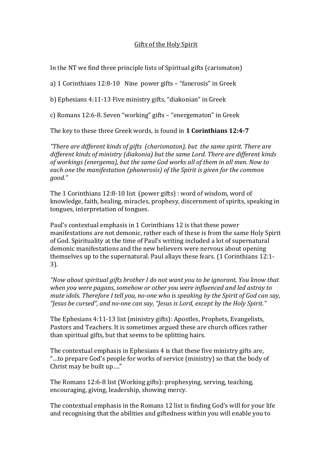## Gifts of the Holy Spirit

In the NT we find three principle lists of Spiritual gifts (carismaton)

a) 1 Corinthians 12:8-10 Nine power gifts – "fanerosis" in Greek

b) Ephesians 4:11-13 Five ministry gifts, "diakonian" in Greek

c) Romans 12:6-8. Seven "working" gifts – "energematon" in Greek

The key to these three Greek words, is found in **1 Corinthians 12:4-7**

*"There are different kinds of gifts (charismaton), but the same spirit. There are different kinds of ministry (diakonia) but the same Lord. There are different kinds of workings (energema), but the same God works all of them in all men. Now to each one the manifestation (phanerosis) of the Spirit is given for the common good."*

The 1 Corinthians 12:8-10 list (power gifts) : word of wisdom, word of knowledge, faith, healing, miracles, prophesy, discernment of spirits, speaking in tongues, interpretation of tongues.

Paul's contextual emphasis in 1 Corinthians 12 is that these power manifestations are not demonic, rather each of these is from the same Holy Spirit of God. Spirituality at the time of Paul's writing included a lot of supernatural demonic manifestations and the new believers were nervous about opening themselves up to the supernatural. Paul allays these fears. (1 Corinthians 12:1- 3).

*"Now about spiritual gifts brother I do not want you to be ignorant. You know that when you were pagans, somehow or other you were influenced and led astray to mute idols. Therefore I tell you, no-one who is speaking by the Spirit of God can say, "Jesus be cursed", and no-one can say, "Jesus is Lord, except by the Holy Spirit."*

The Ephesians 4:11-13 list (ministry gifts): Apostles, Prophets, Evangelists, Pastors and Teachers. It is sometimes argued these are church offices rather than spiritual gifts, but that seems to be splitting hairs.

The contextual emphasis in Ephesians 4 is that these five ministry gifts are, "…to prepare God's people for works of service (ministry) so that the body of Christ may be built up…."

The Romans 12:6-8 list (Working gifts): prophesying, serving, teaching, encouraging, giving, leadership, showing mercy.

The contextual emphasis in the Romans 12 list is finding God's will for your life and recognising that the abilities and giftedness within you will enable you to